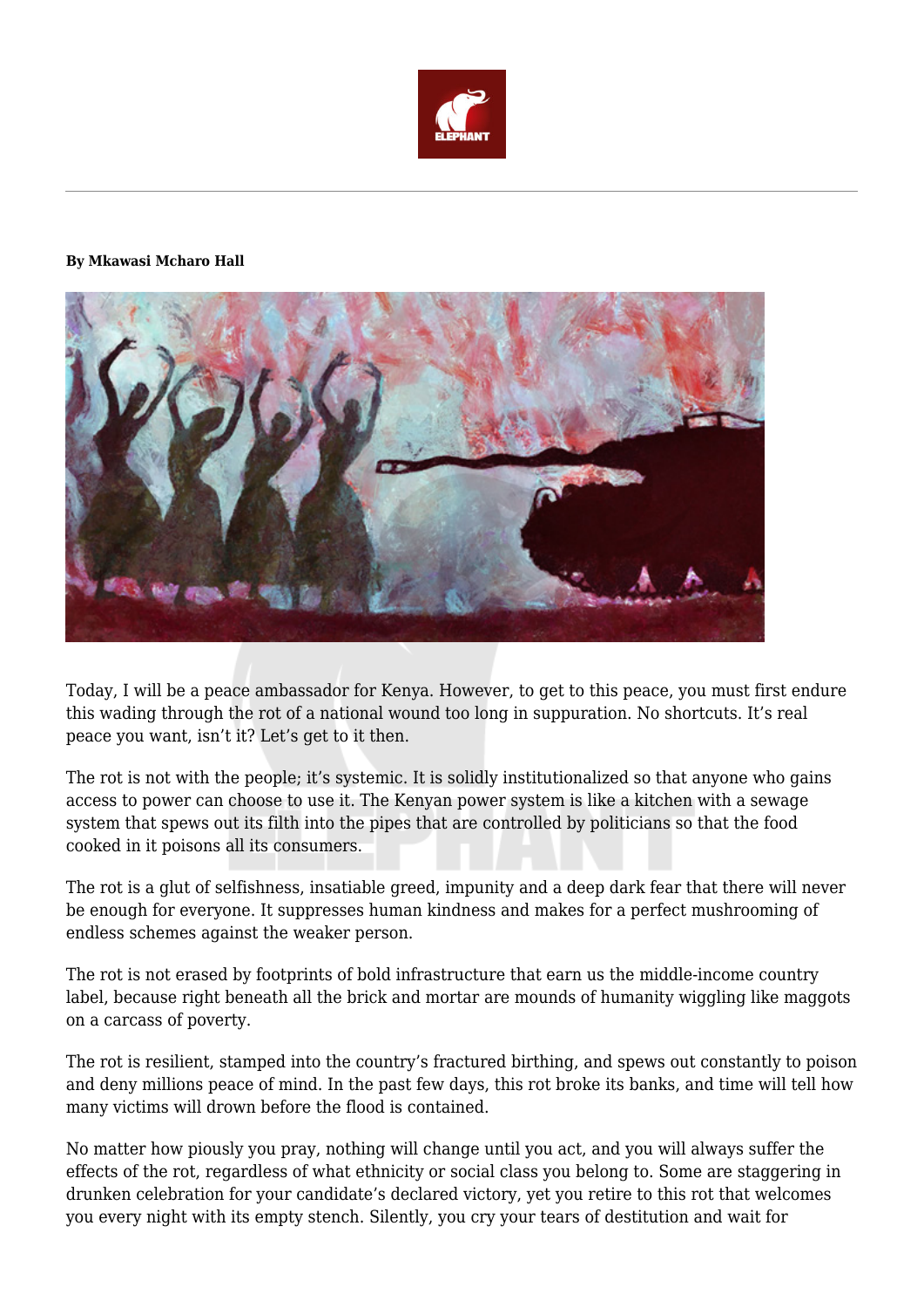

## **By Mkawasi Mcharo Hall**



Today, I will be a peace ambassador for Kenya. However, to get to this peace, you must first endure this wading through the rot of a national wound too long in suppuration. No shortcuts. It's real peace you want, isn't it? Let's get to it then.

The rot is not with the people; it's systemic. It is solidly institutionalized so that anyone who gains access to power can choose to use it. The Kenyan power system is like a kitchen with a sewage system that spews out its filth into the pipes that are controlled by politicians so that the food cooked in it poisons all its consumers.

The rot is a glut of selfishness, insatiable greed, impunity and a deep dark fear that there will never be enough for everyone. It suppresses human kindness and makes for a perfect mushrooming of endless schemes against the weaker person.

The rot is not erased by footprints of bold infrastructure that earn us the middle-income country label, because right beneath all the brick and mortar are mounds of humanity wiggling like maggots on a carcass of poverty.

The rot is resilient, stamped into the country's fractured birthing, and spews out constantly to poison and deny millions peace of mind. In the past few days, this rot broke its banks, and time will tell how many victims will drown before the flood is contained.

No matter how piously you pray, nothing will change until you act, and you will always suffer the effects of the rot, regardless of what ethnicity or social class you belong to. Some are staggering in drunken celebration for your candidate's declared victory, yet you retire to this rot that welcomes you every night with its empty stench. Silently, you cry your tears of destitution and wait for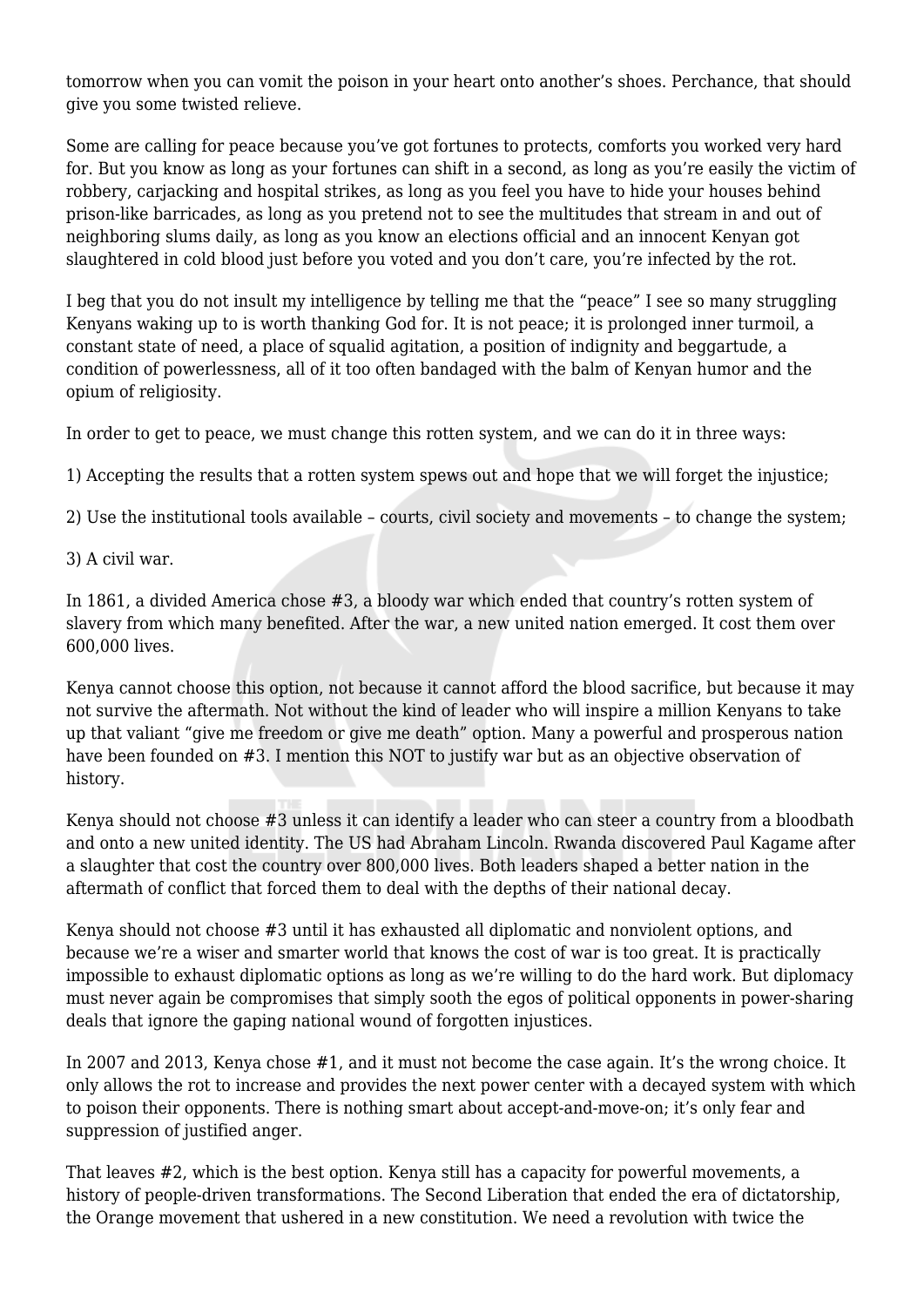tomorrow when you can vomit the poison in your heart onto another's shoes. Perchance, that should give you some twisted relieve.

Some are calling for peace because you've got fortunes to protects, comforts you worked very hard for. But you know as long as your fortunes can shift in a second, as long as you're easily the victim of robbery, carjacking and hospital strikes, as long as you feel you have to hide your houses behind prison-like barricades, as long as you pretend not to see the multitudes that stream in and out of neighboring slums daily, as long as you know an elections official and an innocent Kenyan got slaughtered in cold blood just before you voted and you don't care, you're infected by the rot.

I beg that you do not insult my intelligence by telling me that the "peace" I see so many struggling Kenyans waking up to is worth thanking God for. It is not peace; it is prolonged inner turmoil, a constant state of need, a place of squalid agitation, a position of indignity and beggartude, a condition of powerlessness, all of it too often bandaged with the balm of Kenyan humor and the opium of religiosity.

In order to get to peace, we must change this rotten system, and we can do it in three ways:

1) Accepting the results that a rotten system spews out and hope that we will forget the injustice;

2) Use the institutional tools available – courts, civil society and movements – to change the system;

3) A civil war.

In 1861, a divided America chose #3, a bloody war which ended that country's rotten system of slavery from which many benefited. After the war, a new united nation emerged. It cost them over 600,000 lives.

Kenya cannot choose this option, not because it cannot afford the blood sacrifice, but because it may not survive the aftermath. Not without the kind of leader who will inspire a million Kenyans to take up that valiant "give me freedom or give me death" option. Many a powerful and prosperous nation have been founded on #3. I mention this NOT to justify war but as an objective observation of history.

Kenya should not choose #3 unless it can identify a leader who can steer a country from a bloodbath and onto a new united identity. The US had Abraham Lincoln. Rwanda discovered Paul Kagame after a slaughter that cost the country over 800,000 lives. Both leaders shaped a better nation in the aftermath of conflict that forced them to deal with the depths of their national decay.

Kenya should not choose #3 until it has exhausted all diplomatic and nonviolent options, and because we're a wiser and smarter world that knows the cost of war is too great. It is practically impossible to exhaust diplomatic options as long as we're willing to do the hard work. But diplomacy must never again be compromises that simply sooth the egos of political opponents in power-sharing deals that ignore the gaping national wound of forgotten injustices.

In 2007 and 2013, Kenya chose #1, and it must not become the case again. It's the wrong choice. It only allows the rot to increase and provides the next power center with a decayed system with which to poison their opponents. There is nothing smart about accept-and-move-on; it's only fear and suppression of justified anger.

That leaves #2, which is the best option. Kenya still has a capacity for powerful movements, a history of people-driven transformations. The Second Liberation that ended the era of dictatorship, the Orange movement that ushered in a new constitution. We need a revolution with twice the